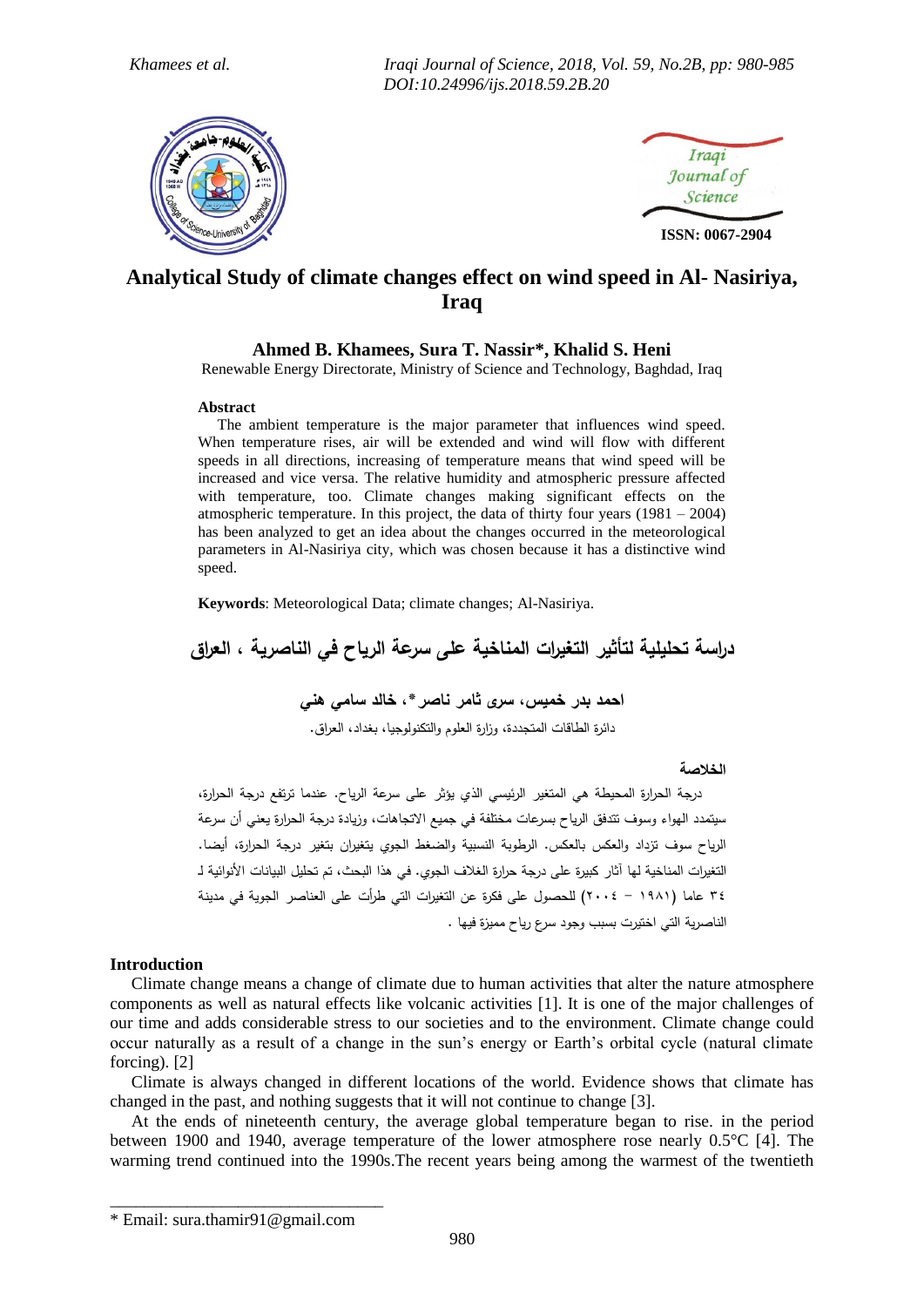*Khamees et al. Iraqi Journal of Science, 2018, Vol. 59, No.2B, pp: 980-985 DOI:10.24996/ijs.2018.59.2B.20* 





# **Analytical Study of climate changes effect on wind speed in Al- Nasiriya, Iraq**

## **Ahmed B. Khamees, Sura T. Nassir\*, Khalid S. Heni**

Renewable Energy Directorate, Ministry of Science and Technology, Baghdad, Iraq

#### **Abstract**

 The ambient temperature is the major parameter that influences wind speed. When temperature rises, air will be extended and wind will flow with different speeds in all directions, increasing of temperature means that wind speed will be increased and vice versa. The relative humidity and atmospheric pressure affected with temperature, too. Climate changes making significant effects on the atmospheric temperature. In this project, the data of thirty four years (1981 – 2004) has been analyzed to get an idea about the changes occurred in the meteorological parameters in Al-Nasiriya city, which was chosen because it has a distinctive wind speed.

**Keywords**: Meteorological Data; climate changes; Al-Nasiriya.

**دراسة تحليلية لتأثير التغيرات المناخية على سرعة الرياح في الناصرية , العراق**

# **احمد بدر خميس, سرى ثامر ناصر\*, خالد سامي هني**

دائرة الطاقات المتجددة، وزارة العموم والتكنولوجيا، بغداد، العراق.

## **الخالصة**

درجة الحرارة المحيطة هي المتغير الرئيسي الذي يؤثر عمى سرعة الرياح. عندما ترتفع درجة الحرارة، سيتمدد الهواء وسوف تتدفق الرياح بسرعات مختمفة في جميع االتجاهات، وزيادة درجة الحرارة يعني أن سرعة الرياح سوف تزداد والعكس بالعكس. الرطوبة النسبية والضغط الجوي يتغيران بتغير درجة الحرارة، أيضا. التغيرات المناخية لها آثار كبيرة على درجة حرارة الغلاف الجوي. في هذا البحث، تم تحليل البيانات الأنوائية لـ 34 عاما )1891 - 2004( لمحصول عمى فكرة عن التغيرات التي طرأت عمى العناصر الجوية في مدينة الناصرية التي اختيرت بسبب وجود سرع رياح مميزة فيها .

## **Introduction**

Climate change means a change of climate due to human activities that alter the nature atmosphere components as well as natural effects like volcanic activities [1]. It is one of the major challenges of our time and adds considerable stress to our societies and to the environment. Climate change could occur naturally as a result of a change in the sun's energy or Earth's orbital cycle (natural climate forcing). [2]

 Climate is always changed in different locations of the world. Evidence shows that climate has changed in the past, and nothing suggests that it will not continue to change [3].

 At the ends of nineteenth century, the average global temperature began to rise. in the period between 1900 and 1940, average temperature of the lower atmosphere rose nearly 0.5°C [4]. The warming trend continued into the 1990s.The recent years being among the warmest of the twentieth

\_\_\_\_\_\_\_\_\_\_\_\_\_\_\_\_\_\_\_\_\_\_\_\_\_\_\_\_\_\_\_\_

<sup>\*</sup> Email: sura.thamir91@gmail.com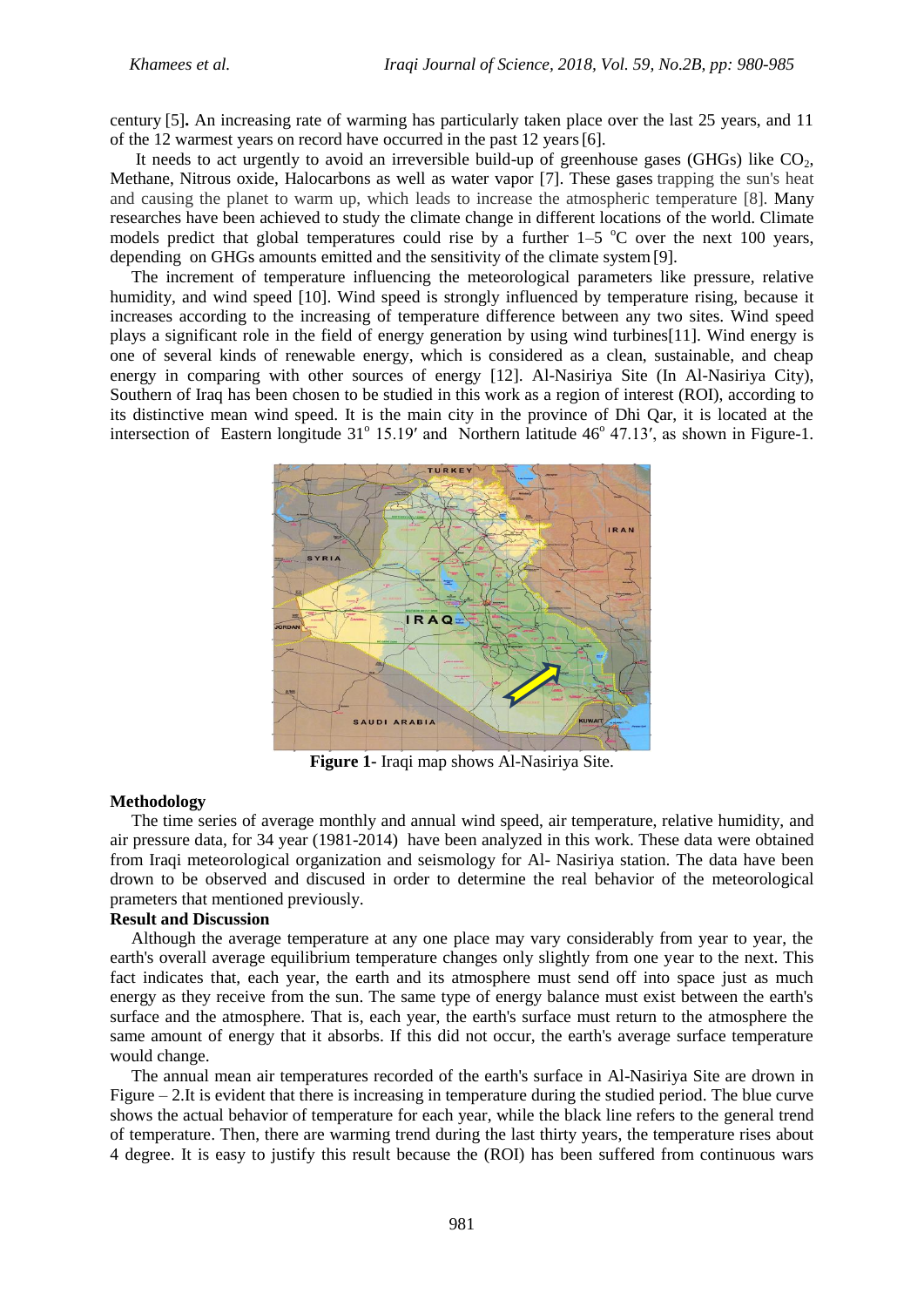century [5]**.** An increasing rate of warming has particularly taken place over the last 25 years, and 11 of the 12 warmest years on record have occurred in the past 12 years[6].

It needs to act urgently to avoid an irreversible build-up of greenhouse gases (GHGs) like  $CO<sub>2</sub>$ , Methane, Nitrous oxide, Halocarbons as well as water vapor [7]. These gases trapping the sun's heat and causing the planet to warm up, which leads to increase the atmospheric temperature [8]. Many researches have been achieved to study the climate change in different locations of the world. Climate models predict that global temperatures could rise by a further  $1-5$  °C over the next 100 years, depending on GHGs amounts emitted and the sensitivity of the climate system[9].

 The increment of temperature influencing the meteorological parameters like pressure, relative humidity, and wind speed [10]. Wind speed is strongly influenced by temperature rising, because it increases according to the increasing of temperature difference between any two sites. Wind speed plays a significant role in the field of energy generation by using wind turbines[11]. Wind energy is one of several kinds of renewable energy, which is considered as a clean, sustainable, and cheap energy in comparing with other sources of energy [12]. Al-Nasiriya Site (In Al-Nasiriya City), Southern of Iraq has been chosen to be studied in this work as a region of interest (ROI), according to its distinctive mean wind speed. It is the main city in the province of Dhi Qar, it is located at the intersection of Eastern longitude  $31^{\circ}$  15.19' and Northern latitude 46 $^{\circ}$  47.13', as shown in Figure-1.



**Figure 1-** Iraqi map shows Al-Nasiriya Site.

#### **Methodology**

 The time series of average monthly and annual wind speed, air temperature, relative humidity, and air pressure data, for 34 year (1981-2014) have been analyzed in this work. These data were obtained from Iraqi meteorological organization and seismology for Al- Nasiriya station. The data have been drown to be observed and discused in order to determine the real behavior of the meteorological prameters that mentioned previously.

#### **Result and Discussion**

 Although the average temperature at any one place may vary considerably from year to year, the earth's overall average equilibrium temperature changes only slightly from one year to the next. This fact indicates that, each year, the earth and its atmosphere must send off into space just as much energy as they receive from the sun. The same type of energy balance must exist between the earth's surface and the atmosphere. That is, each year, the earth's surface must return to the atmosphere the same amount of energy that it absorbs. If this did not occur, the earth's average surface temperature would change.

 The annual mean air temperatures recorded of the earth's surface in Al-Nasiriya Site are drown in Figure – 2.It is evident that there is increasing in temperature during the studied period. The blue curve shows the actual behavior of temperature for each year, while the black line refers to the general trend of temperature. Then, there are warming trend during the last thirty years, the temperature rises about 4 degree. It is easy to justify this result because the (ROI) has been suffered from continuous wars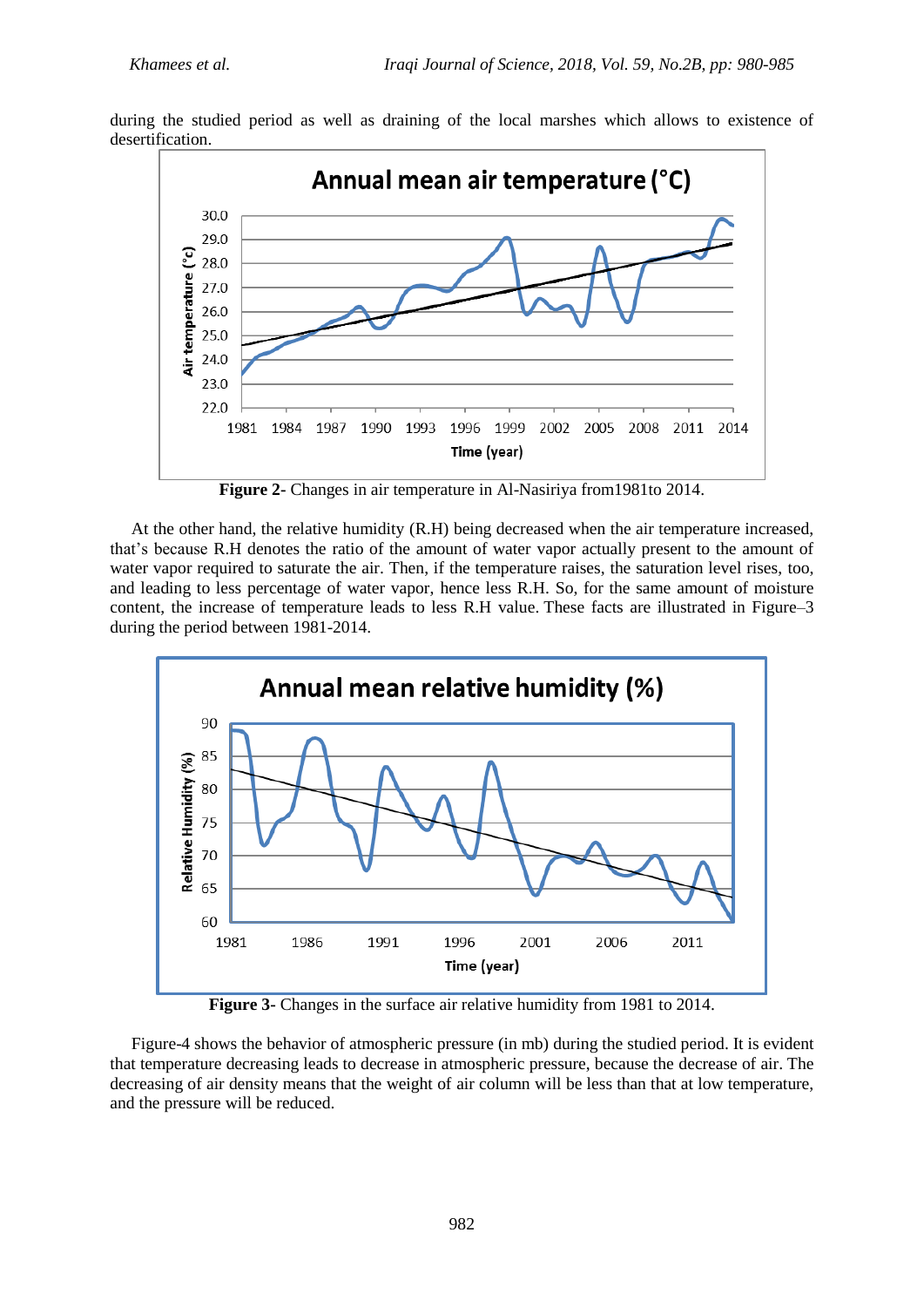



**Figure 2-** Changes in air temperature in Al-Nasiriya from1981to 2014.

 At the other hand, the relative humidity (R.H) being decreased when the air temperature increased, that's because R.H denotes the ratio of the amount of water vapor actually present to the amount of water vapor required to saturate the air. Then, if the temperature raises, the saturation level rises, too, and leading to less percentage of water vapor, hence less R.H. So, for the same amount of moisture content, the increase of temperature leads to less R.H value. These facts are illustrated in Figure–3 during the period between 1981-2014.



**Figure 3-** Changes in the surface air relative humidity from 1981 to 2014.

 Figure-4 shows the behavior of atmospheric pressure (in mb) during the studied period. It is evident that temperature decreasing leads to decrease in atmospheric pressure, because the decrease of air. The decreasing of air density means that the weight of air column will be less than that at low temperature, and the pressure will be reduced.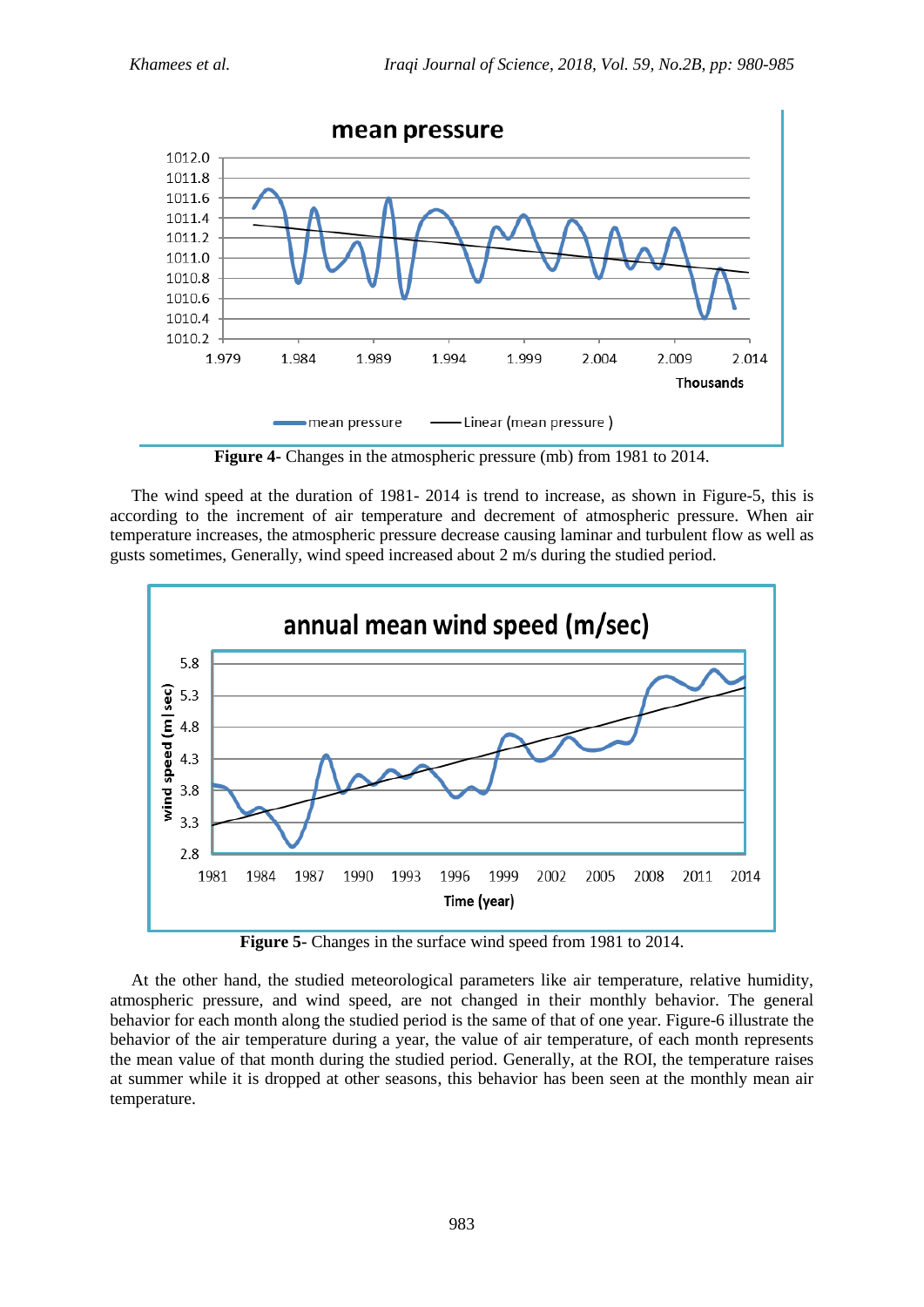

**Figure 4-** Changes in the atmospheric pressure (mb) from 1981 to 2014.

 The wind speed at the duration of 1981- 2014 is trend to increase, as shown in Figure-5, this is according to the increment of air temperature and decrement of atmospheric pressure. When air temperature increases, the atmospheric pressure decrease causing laminar and turbulent flow as well as gusts sometimes, Generally, wind speed increased about 2 m/s during the studied period.



**Figure 5-** Changes in the surface wind speed from 1981 to 2014.

 At the other hand, the studied meteorological parameters like air temperature, relative humidity, atmospheric pressure, and wind speed, are not changed in their monthly behavior. The general behavior for each month along the studied period is the same of that of one year. Figure-6 illustrate the behavior of the air temperature during a year, the value of air temperature, of each month represents the mean value of that month during the studied period. Generally, at the ROI, the temperature raises at summer while it is dropped at other seasons, this behavior has been seen at the monthly mean air temperature.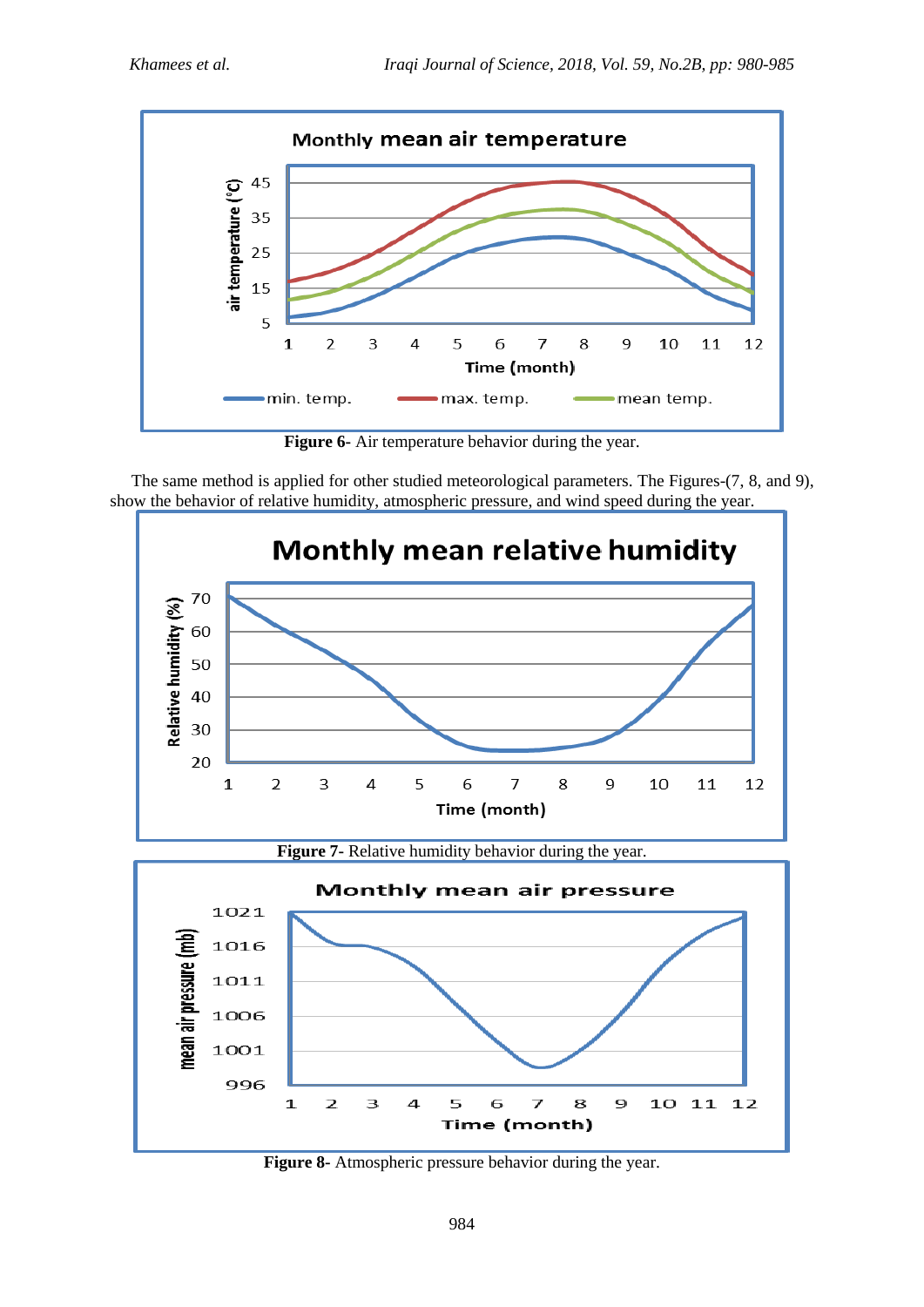

**Figure 6-** Air temperature behavior during the year.

 The same method is applied for other studied meteorological parameters. The Figures-(7, 8, and 9), show the behavior of relative humidity, atmospheric pressure, and wind speed during the year.



**Figure 8-** Atmospheric pressure behavior during the year.